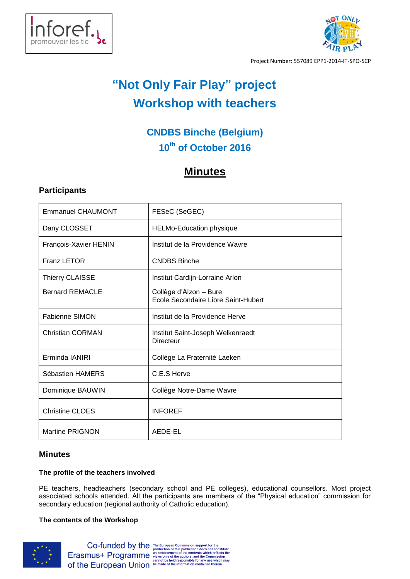



Project Number: 557089 EPP1-2014-IT-SPO-SCP

# **"Not Only Fair Play" project Workshop with teachers**

# **CNDBS Binche (Belgium) 10th of October 2016**

# **Minutes**

# **Participants**

| <b>Emmanuel CHAUMONT</b> | FESeC (SeGEC)                                                 |
|--------------------------|---------------------------------------------------------------|
| Dany CLOSSET             | <b>HELMo-Education physique</b>                               |
| François-Xavier HENIN    | Institut de la Providence Wavre                               |
| Franz LETOR              | <b>CNDBS Binche</b>                                           |
| <b>Thierry CLAISSE</b>   | Institut Cardijn-Lorraine Arlon                               |
| <b>Bernard REMACLE</b>   | Collège d'Alzon - Bure<br>Ecole Secondaire Libre Saint-Hubert |
| <b>Fabienne SIMON</b>    | Institut de la Providence Herve                               |
| <b>Christian CORMAN</b>  | Institut Saint-Joseph Welkenraedt<br>Directeur                |
| Erminda IANIRI           | Collège La Fraternité Laeken                                  |
| Sébastien HAMERS         | C.E.S Herve                                                   |
| Dominique BAUWIN         | Collège Notre-Dame Wavre                                      |
| <b>Christine CLOES</b>   | <b>INFOREF</b>                                                |
| <b>Martine PRIGNON</b>   | AEDE-EL                                                       |

## **Minutes**

### **The profile of the teachers involved**

PE teachers, headteachers (secondary school and PE colleges), educational counsellors. Most project associated schools attended. All the participants are members of the "Physical education" commission for secondary education (regional authority of Catholic education).

### **The contents of the Workshop**